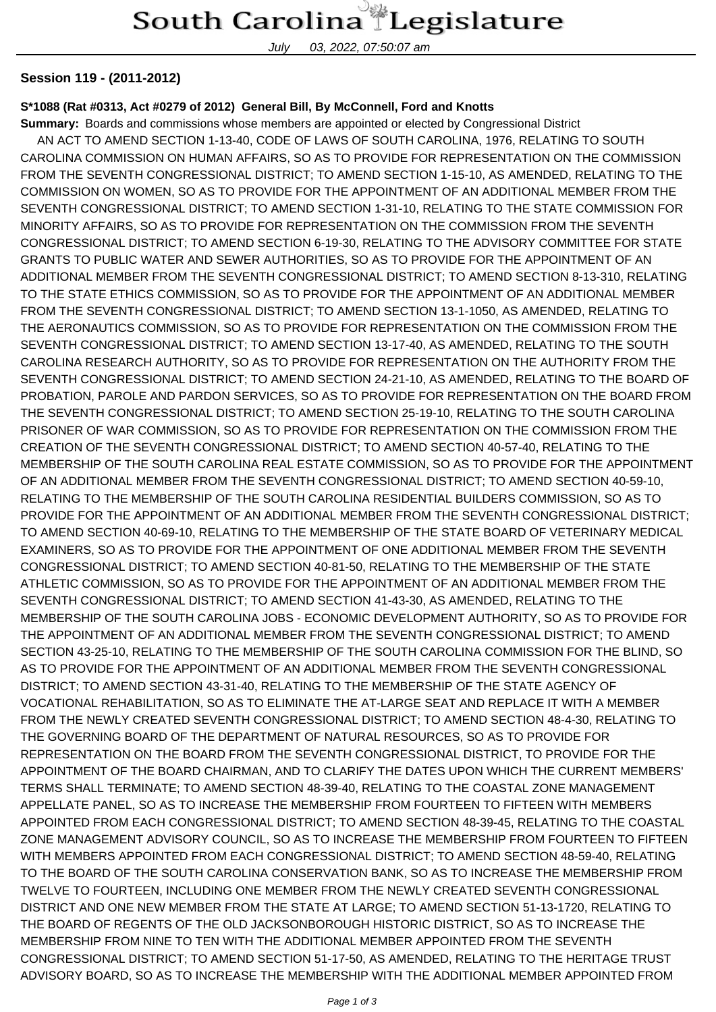### South Carolina Legislature

July 03, 2022, 07:50:07 am

#### **Session 119 - (2011-2012)**

#### **S\*1088 (Rat #0313, Act #0279 of 2012) General Bill, By McConnell, Ford and Knotts**

**Summary:** Boards and commissions whose members are appointed or elected by Congressional District AN ACT TO AMEND SECTION 1-13-40, CODE OF LAWS OF SOUTH CAROLINA, 1976, RELATING TO SOUTH

CAROLINA COMMISSION ON HUMAN AFFAIRS, SO AS TO PROVIDE FOR REPRESENTATION ON THE COMMISSION FROM THE SEVENTH CONGRESSIONAL DISTRICT; TO AMEND SECTION 1-15-10, AS AMENDED, RELATING TO THE COMMISSION ON WOMEN, SO AS TO PROVIDE FOR THE APPOINTMENT OF AN ADDITIONAL MEMBER FROM THE SEVENTH CONGRESSIONAL DISTRICT; TO AMEND SECTION 1-31-10, RELATING TO THE STATE COMMISSION FOR MINORITY AFFAIRS, SO AS TO PROVIDE FOR REPRESENTATION ON THE COMMISSION FROM THE SEVENTH CONGRESSIONAL DISTRICT; TO AMEND SECTION 6-19-30, RELATING TO THE ADVISORY COMMITTEE FOR STATE GRANTS TO PUBLIC WATER AND SEWER AUTHORITIES, SO AS TO PROVIDE FOR THE APPOINTMENT OF AN ADDITIONAL MEMBER FROM THE SEVENTH CONGRESSIONAL DISTRICT; TO AMEND SECTION 8-13-310, RELATING TO THE STATE ETHICS COMMISSION, SO AS TO PROVIDE FOR THE APPOINTMENT OF AN ADDITIONAL MEMBER FROM THE SEVENTH CONGRESSIONAL DISTRICT; TO AMEND SECTION 13-1-1050, AS AMENDED, RELATING TO THE AERONAUTICS COMMISSION, SO AS TO PROVIDE FOR REPRESENTATION ON THE COMMISSION FROM THE SEVENTH CONGRESSIONAL DISTRICT; TO AMEND SECTION 13-17-40, AS AMENDED, RELATING TO THE SOUTH CAROLINA RESEARCH AUTHORITY, SO AS TO PROVIDE FOR REPRESENTATION ON THE AUTHORITY FROM THE SEVENTH CONGRESSIONAL DISTRICT; TO AMEND SECTION 24-21-10, AS AMENDED, RELATING TO THE BOARD OF PROBATION, PAROLE AND PARDON SERVICES, SO AS TO PROVIDE FOR REPRESENTATION ON THE BOARD FROM THE SEVENTH CONGRESSIONAL DISTRICT; TO AMEND SECTION 25-19-10, RELATING TO THE SOUTH CAROLINA PRISONER OF WAR COMMISSION, SO AS TO PROVIDE FOR REPRESENTATION ON THE COMMISSION FROM THE CREATION OF THE SEVENTH CONGRESSIONAL DISTRICT; TO AMEND SECTION 40-57-40, RELATING TO THE MEMBERSHIP OF THE SOUTH CAROLINA REAL ESTATE COMMISSION, SO AS TO PROVIDE FOR THE APPOINTMENT OF AN ADDITIONAL MEMBER FROM THE SEVENTH CONGRESSIONAL DISTRICT; TO AMEND SECTION 40-59-10, RELATING TO THE MEMBERSHIP OF THE SOUTH CAROLINA RESIDENTIAL BUILDERS COMMISSION, SO AS TO PROVIDE FOR THE APPOINTMENT OF AN ADDITIONAL MEMBER FROM THE SEVENTH CONGRESSIONAL DISTRICT; TO AMEND SECTION 40-69-10, RELATING TO THE MEMBERSHIP OF THE STATE BOARD OF VETERINARY MEDICAL EXAMINERS, SO AS TO PROVIDE FOR THE APPOINTMENT OF ONE ADDITIONAL MEMBER FROM THE SEVENTH CONGRESSIONAL DISTRICT; TO AMEND SECTION 40-81-50, RELATING TO THE MEMBERSHIP OF THE STATE ATHLETIC COMMISSION, SO AS TO PROVIDE FOR THE APPOINTMENT OF AN ADDITIONAL MEMBER FROM THE SEVENTH CONGRESSIONAL DISTRICT; TO AMEND SECTION 41-43-30, AS AMENDED, RELATING TO THE MEMBERSHIP OF THE SOUTH CAROLINA JOBS - ECONOMIC DEVELOPMENT AUTHORITY, SO AS TO PROVIDE FOR THE APPOINTMENT OF AN ADDITIONAL MEMBER FROM THE SEVENTH CONGRESSIONAL DISTRICT; TO AMEND SECTION 43-25-10, RELATING TO THE MEMBERSHIP OF THE SOUTH CAROLINA COMMISSION FOR THE BLIND, SO AS TO PROVIDE FOR THE APPOINTMENT OF AN ADDITIONAL MEMBER FROM THE SEVENTH CONGRESSIONAL DISTRICT; TO AMEND SECTION 43-31-40, RELATING TO THE MEMBERSHIP OF THE STATE AGENCY OF VOCATIONAL REHABILITATION, SO AS TO ELIMINATE THE AT-LARGE SEAT AND REPLACE IT WITH A MEMBER FROM THE NEWLY CREATED SEVENTH CONGRESSIONAL DISTRICT; TO AMEND SECTION 48-4-30, RELATING TO THE GOVERNING BOARD OF THE DEPARTMENT OF NATURAL RESOURCES, SO AS TO PROVIDE FOR REPRESENTATION ON THE BOARD FROM THE SEVENTH CONGRESSIONAL DISTRICT, TO PROVIDE FOR THE APPOINTMENT OF THE BOARD CHAIRMAN, AND TO CLARIFY THE DATES UPON WHICH THE CURRENT MEMBERS' TERMS SHALL TERMINATE; TO AMEND SECTION 48-39-40, RELATING TO THE COASTAL ZONE MANAGEMENT APPELLATE PANEL, SO AS TO INCREASE THE MEMBERSHIP FROM FOURTEEN TO FIFTEEN WITH MEMBERS APPOINTED FROM EACH CONGRESSIONAL DISTRICT; TO AMEND SECTION 48-39-45, RELATING TO THE COASTAL ZONE MANAGEMENT ADVISORY COUNCIL, SO AS TO INCREASE THE MEMBERSHIP FROM FOURTEEN TO FIFTEEN WITH MEMBERS APPOINTED FROM EACH CONGRESSIONAL DISTRICT; TO AMEND SECTION 48-59-40, RELATING TO THE BOARD OF THE SOUTH CAROLINA CONSERVATION BANK, SO AS TO INCREASE THE MEMBERSHIP FROM TWELVE TO FOURTEEN, INCLUDING ONE MEMBER FROM THE NEWLY CREATED SEVENTH CONGRESSIONAL DISTRICT AND ONE NEW MEMBER FROM THE STATE AT LARGE; TO AMEND SECTION 51-13-1720, RELATING TO THE BOARD OF REGENTS OF THE OLD JACKSONBOROUGH HISTORIC DISTRICT, SO AS TO INCREASE THE MEMBERSHIP FROM NINE TO TEN WITH THE ADDITIONAL MEMBER APPOINTED FROM THE SEVENTH CONGRESSIONAL DISTRICT; TO AMEND SECTION 51-17-50, AS AMENDED, RELATING TO THE HERITAGE TRUST ADVISORY BOARD, SO AS TO INCREASE THE MEMBERSHIP WITH THE ADDITIONAL MEMBER APPOINTED FROM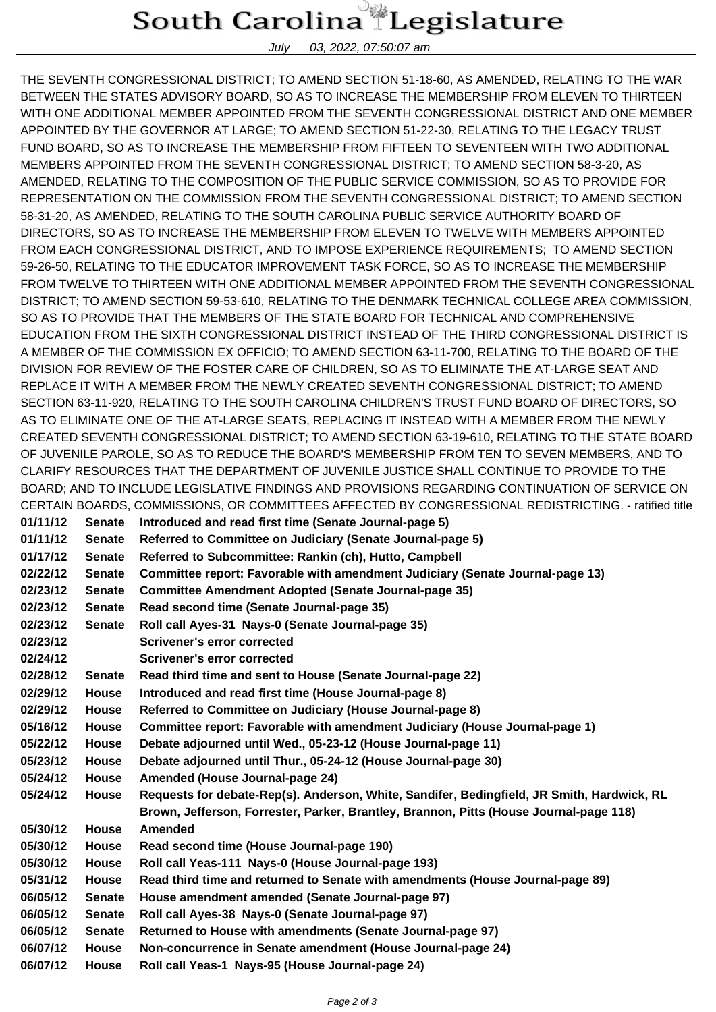## South Carolina Legislature

July 03, 2022, 07:50:07 am

THE SEVENTH CONGRESSIONAL DISTRICT; TO AMEND SECTION 51-18-60, AS AMENDED, RELATING TO THE WAR BETWEEN THE STATES ADVISORY BOARD, SO AS TO INCREASE THE MEMBERSHIP FROM ELEVEN TO THIRTEEN WITH ONE ADDITIONAL MEMBER APPOINTED FROM THE SEVENTH CONGRESSIONAL DISTRICT AND ONE MEMBER APPOINTED BY THE GOVERNOR AT LARGE; TO AMEND SECTION 51-22-30, RELATING TO THE LEGACY TRUST FUND BOARD, SO AS TO INCREASE THE MEMBERSHIP FROM FIFTEEN TO SEVENTEEN WITH TWO ADDITIONAL MEMBERS APPOINTED FROM THE SEVENTH CONGRESSIONAL DISTRICT; TO AMEND SECTION 58-3-20, AS AMENDED, RELATING TO THE COMPOSITION OF THE PUBLIC SERVICE COMMISSION, SO AS TO PROVIDE FOR REPRESENTATION ON THE COMMISSION FROM THE SEVENTH CONGRESSIONAL DISTRICT; TO AMEND SECTION 58-31-20, AS AMENDED, RELATING TO THE SOUTH CAROLINA PUBLIC SERVICE AUTHORITY BOARD OF DIRECTORS, SO AS TO INCREASE THE MEMBERSHIP FROM ELEVEN TO TWELVE WITH MEMBERS APPOINTED FROM EACH CONGRESSIONAL DISTRICT, AND TO IMPOSE EXPERIENCE REQUIREMENTS; TO AMEND SECTION 59-26-50, RELATING TO THE EDUCATOR IMPROVEMENT TASK FORCE, SO AS TO INCREASE THE MEMBERSHIP FROM TWELVE TO THIRTEEN WITH ONE ADDITIONAL MEMBER APPOINTED FROM THE SEVENTH CONGRESSIONAL DISTRICT; TO AMEND SECTION 59-53-610, RELATING TO THE DENMARK TECHNICAL COLLEGE AREA COMMISSION, SO AS TO PROVIDE THAT THE MEMBERS OF THE STATE BOARD FOR TECHNICAL AND COMPREHENSIVE EDUCATION FROM THE SIXTH CONGRESSIONAL DISTRICT INSTEAD OF THE THIRD CONGRESSIONAL DISTRICT IS A MEMBER OF THE COMMISSION EX OFFICIO; TO AMEND SECTION 63-11-700, RELATING TO THE BOARD OF THE DIVISION FOR REVIEW OF THE FOSTER CARE OF CHILDREN, SO AS TO ELIMINATE THE AT-LARGE SEAT AND REPLACE IT WITH A MEMBER FROM THE NEWLY CREATED SEVENTH CONGRESSIONAL DISTRICT; TO AMEND SECTION 63-11-920, RELATING TO THE SOUTH CAROLINA CHILDREN'S TRUST FUND BOARD OF DIRECTORS, SO AS TO ELIMINATE ONE OF THE AT-LARGE SEATS, REPLACING IT INSTEAD WITH A MEMBER FROM THE NEWLY CREATED SEVENTH CONGRESSIONAL DISTRICT; TO AMEND SECTION 63-19-610, RELATING TO THE STATE BOARD OF JUVENILE PAROLE, SO AS TO REDUCE THE BOARD'S MEMBERSHIP FROM TEN TO SEVEN MEMBERS, AND TO CLARIFY RESOURCES THAT THE DEPARTMENT OF JUVENILE JUSTICE SHALL CONTINUE TO PROVIDE TO THE BOARD; AND TO INCLUDE LEGISLATIVE FINDINGS AND PROVISIONS REGARDING CONTINUATION OF SERVICE ON CERTAIN BOARDS, COMMISSIONS, OR COMMITTEES AFFECTED BY CONGRESSIONAL REDISTRICTING. - ratified title

**01/11/12 Senate Introduced and read first time (Senate Journal-page 5) 01/11/12 Senate Referred to Committee on Judiciary (Senate Journal-page 5) 01/17/12 Senate Referred to Subcommittee: Rankin (ch), Hutto, Campbell 02/22/12 Senate Committee report: Favorable with amendment Judiciary (Senate Journal-page 13) 02/23/12 Senate Committee Amendment Adopted (Senate Journal-page 35) 02/23/12 Senate Read second time (Senate Journal-page 35) 02/23/12 Senate Roll call Ayes-31 Nays-0 (Senate Journal-page 35) 02/23/12 Scrivener's error corrected 02/24/12 Scrivener's error corrected 02/28/12 Senate Read third time and sent to House (Senate Journal-page 22) 02/29/12 House Introduced and read first time (House Journal-page 8) 02/29/12 House Referred to Committee on Judiciary (House Journal-page 8) 05/16/12 House Committee report: Favorable with amendment Judiciary (House Journal-page 1) 05/22/12 House Debate adjourned until Wed., 05-23-12 (House Journal-page 11) 05/23/12 House Debate adjourned until Thur., 05-24-12 (House Journal-page 30) 05/24/12 House Amended (House Journal-page 24) 05/24/12 House Requests for debate-Rep(s). Anderson, White, Sandifer, Bedingfield, JR Smith, Hardwick, RL Brown, Jefferson, Forrester, Parker, Brantley, Brannon, Pitts (House Journal-page 118) 05/30/12 House Amended 05/30/12 House Read second time (House Journal-page 190) 05/30/12 House Roll call Yeas-111 Nays-0 (House Journal-page 193) 05/31/12 House Read third time and returned to Senate with amendments (House Journal-page 89) 06/05/12 Senate House amendment amended (Senate Journal-page 97) 06/05/12 Senate Roll call Ayes-38 Nays-0 (Senate Journal-page 97) 06/05/12 Senate Returned to House with amendments (Senate Journal-page 97) 06/07/12 House Non-concurrence in Senate amendment (House Journal-page 24) 06/07/12 House Roll call Yeas-1 Nays-95 (House Journal-page 24)**